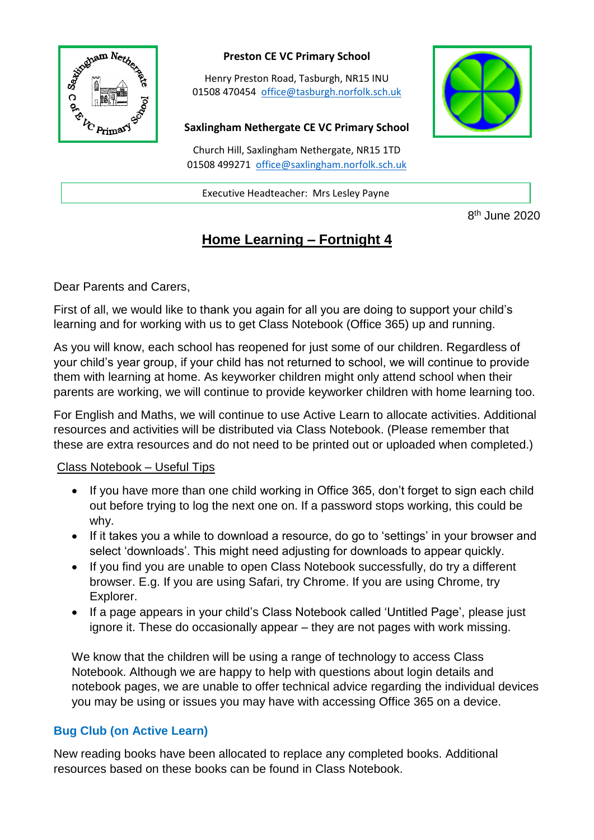

## **Preston CE VC Primary School**

Henry Preston Road, Tasburgh, NR15 INU 01508 470454 [office@tasburgh.norfolk.sch.uk](mailto:office@tasburgh.norfolk.sch.uk)

#### **Saxlingham Nethergate CE VC Primary School**

Church Hill, Saxlingham Nethergate, NR15 1TD 01508 499271 [office@saxlingham.norfolk.sch.uk](mailto:office@saxlingham.norfolk.sch.uk)

Executive Headteacher: Mrs Lesley Payne

8<sup>th</sup> June 2020

# **Home Learning – Fortnight 4**

Dear Parents and Carers,

First of all, we would like to thank you again for all you are doing to support your child's learning and for working with us to get Class Notebook (Office 365) up and running.

As you will know, each school has reopened for just some of our children. Regardless of your child's year group, if your child has not returned to school, we will continue to provide them with learning at home. As keyworker children might only attend school when their parents are working, we will continue to provide keyworker children with home learning too.

For English and Maths, we will continue to use Active Learn to allocate activities. Additional resources and activities will be distributed via Class Notebook. (Please remember that these are extra resources and do not need to be printed out or uploaded when completed.)

## Class Notebook – Useful Tips

- If you have more than one child working in Office 365, don't forget to sign each child out before trying to log the next one on. If a password stops working, this could be why.
- If it takes you a while to download a resource, do go to 'settings' in your browser and select 'downloads'. This might need adjusting for downloads to appear quickly.
- If you find you are unable to open Class Notebook successfully, do try a different browser. E.g. If you are using Safari, try Chrome. If you are using Chrome, try Explorer.
- If a page appears in your child's Class Notebook called 'Untitled Page', please just ignore it. These do occasionally appear – they are not pages with work missing.

We know that the children will be using a range of technology to access Class Notebook. Although we are happy to help with questions about login details and notebook pages, we are unable to offer technical advice regarding the individual devices you may be using or issues you may have with accessing Office 365 on a device.

## **Bug Club (on Active Learn)**

New reading books have been allocated to replace any completed books. Additional resources based on these books can be found in Class Notebook.